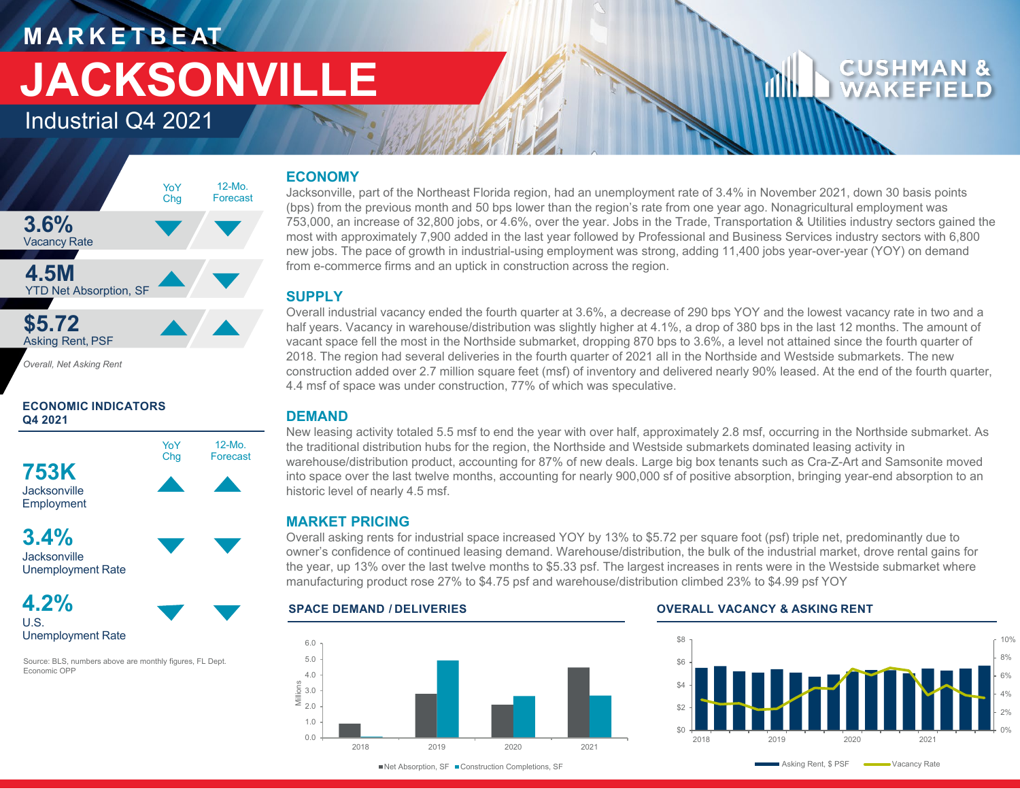## **M A R K E T B E AT JACKSONVILLE**

Industrial Q4 2021

#### **3.6%** Vacancy Rate **4.5M** YTD Net Absorption, SF **\$5.72** Asking Rent, PSF YoY Chg 12-Mo. Forecast

*Overall, Net Asking Rent*

#### **ECONOMIC INDICATORS Q4 2021**



**Jacksonville** Unemployment Rate

**4.2%** U.S. Unemployment Rate

Source: BLS, numbers above are monthly figures, FL Dept. Economic OPP

#### **ECONOMY**

Jacksonville, part of the Northeast Florida region, had an unemployment rate of 3.4% in November 2021, down 30 basis points (bps) from the previous month and 50 bps lower than the region's rate from one year ago. Nonagricultural employment was 753,000, an increase of 32,800 jobs, or 4.6%, over the year. Jobs in the Trade, Transportation & Utilities industry sectors gained the most with approximately 7,900 added in the last year followed by Professional and Business Services industry sectors with 6,800 new jobs. The pace of growth in industrial-using employment was strong, adding 11,400 jobs year-over-year (YOY) on demand from e-commerce firms and an uptick in construction across the region.

#### **SUPPLY**

Overall industrial vacancy ended the fourth quarter at 3.6%, a decrease of 290 bps YOY and the lowest vacancy rate in two and a half years. Vacancy in warehouse/distribution was slightly higher at 4.1%, a drop of 380 bps in the last 12 months. The amount of vacant space fell the most in the Northside submarket, dropping 870 bps to 3.6%, a level not attained since the fourth quarter of 2018. The region had several deliveries in the fourth quarter of 2021 all in the Northside and Westside submarkets. The new construction added over 2.7 million square feet (msf) of inventory and delivered nearly 90% leased. At the end of the fourth quarter, 4.4 msf of space was under construction, 77% of which was speculative.

#### **DEMAND**

New leasing activity totaled 5.5 msf to end the year with over half, approximately 2.8 msf, occurring in the Northside submarket. As the traditional distribution hubs for the region, the Northside and Westside submarkets dominated leasing activity in warehouse/distribution product, accounting for 87% of new deals. Large big box tenants such as Cra-Z-Art and Samsonite moved into space over the last twelve months, accounting for nearly 900,000 sf of positive absorption, bringing year-end absorption to an historic level of nearly 4.5 msf.

#### **MARKET PRICING**

Overall asking rents for industrial space increased YOY by 13% to \$5.72 per square foot (psf) triple net, predominantly due to owner's confidence of continued leasing demand. Warehouse/distribution, the bulk of the industrial market, drove rental gains for the year, up 13% over the last twelve months to \$5.33 psf. The largest increases in rents were in the Westside submarket where manufacturing product rose 27% to \$4.75 psf and warehouse/distribution climbed 23% to \$4.99 psf YOY





#### **SPACE DEMAND / DELIVERIES OVERALL VACANCY & ASKING RENT**



■ Net Absorption, SF ■ Construction Completions, SF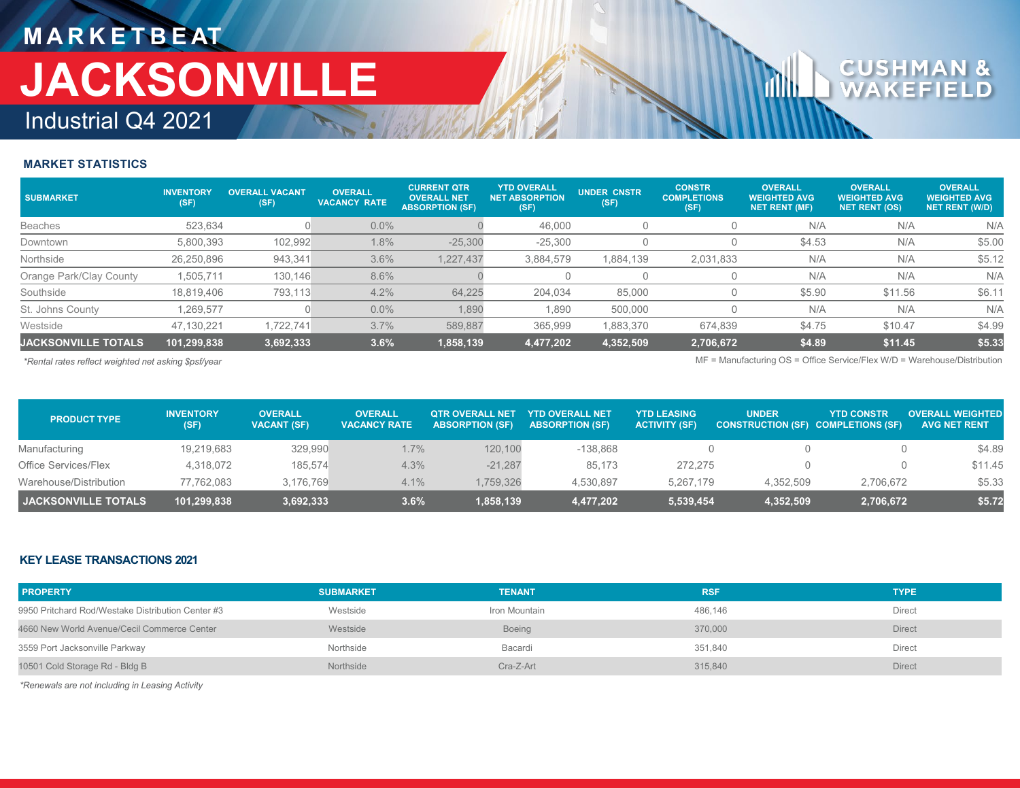### **M A R K E T B E AT** Industrial Q4 2021 **JACKSONVILLE**

# **CUSHM**<br>WAKEF

#### **MARKET STATISTICS**

| <b>SUBMARKET</b>           | <b>INVENTORY</b><br>(SF) | <b>OVERALL VACANT</b><br>(SF) | <b>OVERALL</b><br><b>VACANCY RATE</b> | <b>CURRENT QTR</b><br><b>OVERALL NET</b><br><b>ABSORPTION (SF)</b> | <b>YTD OVERALL</b><br><b>NET ABSORPTION</b><br>(SF) | <b>UNDER CNSTR</b><br>(SF) | <b>CONSTR</b><br><b>COMPLETIONS</b><br>(SF) | <b>OVERALL</b><br><b>WEIGHTED AVG</b><br>NET RENT (MF) | <b>OVERALL</b><br><b>WEIGHTED AVG</b><br><b>NET RENT (OS)</b> | <b>OVERALL</b><br><b>WEIGHTED AVG</b><br><b>NET RENT (W/D)</b> |
|----------------------------|--------------------------|-------------------------------|---------------------------------------|--------------------------------------------------------------------|-----------------------------------------------------|----------------------------|---------------------------------------------|--------------------------------------------------------|---------------------------------------------------------------|----------------------------------------------------------------|
| <b>Beaches</b>             | 523.634                  |                               | $0.0\%$                               |                                                                    | 46.000                                              |                            |                                             | N/A                                                    | N/A                                                           | N/A                                                            |
| Downtown                   | 5,800,393                | 102,992                       | $1.8\%$                               | $-25,300$                                                          | $-25.300$                                           |                            |                                             | \$4.53                                                 | N/A                                                           | \$5.00                                                         |
| Northside                  | 26,250,896               | 943,341                       | 3.6%                                  | 1,227,437                                                          | 3,884,579                                           | .884,139                   | 2,031,833                                   | N/A                                                    | N/A                                                           | \$5.12                                                         |
| Orange Park/Clay County    | 1,505,711                | 130,146                       | 8.6%                                  |                                                                    |                                                     |                            |                                             | N/A                                                    | N/A                                                           | N/A                                                            |
| Southside                  | 18,819,406               | 793.113                       | 4.2%                                  | 64,225                                                             | 204,034                                             | 85,000                     |                                             | \$5.90                                                 | \$11.56                                                       | \$6.1                                                          |
| St. Johns County           | 1.269.577                |                               | $0.0\%$                               | 1,890                                                              | 1,890                                               | 500.000                    |                                             | N/A                                                    | N/A                                                           | N/A                                                            |
| Westside                   | 47.130.221               | 1.722.741                     | 3.7%                                  | 589.887                                                            | 365.999                                             | .883,370                   | 674.839                                     | \$4.75                                                 | \$10.47                                                       | \$4.99                                                         |
| <b>JACKSONVILLE TOTALS</b> | 101,299,838              | 3,692,333                     | 3.6%                                  | 1,858,139                                                          | 4,477,202                                           | 4,352,509                  | 2,706,672                                   | \$4.89                                                 | \$11.45                                                       | \$5.33                                                         |

*\*Rental rates reflect weighted net asking \$psf/year* MF = Manufacturing OS = Office Service/Flex W/D = Warehouse/Distribution

| <b>PRODUCT TYPE</b>    | <b>INVENTORY</b><br>(SF) | <b>OVERALL</b><br><b>VACANT (SF)</b> | <b>OVERALL</b><br><b>VACANCY RATE</b> | <b>OTR OVERALL NET</b><br><b>ABSORPTION (SF)</b> | <b>YTD OVERALL NET</b><br><b>ABSORPTION (SF)</b> | <b>YTD LEASING</b><br><b>ACTIVITY (SF)</b> | <b>UNDER</b><br><b>CONSTRUCTION (SF) COMPLETIONS (SF)</b> | <b>YTD CONSTR</b> | <b>OVERALL WEIGHTED</b><br><b>AVG NET RENT</b> |
|------------------------|--------------------------|--------------------------------------|---------------------------------------|--------------------------------------------------|--------------------------------------------------|--------------------------------------------|-----------------------------------------------------------|-------------------|------------------------------------------------|
| Manufacturing          | 19,219,683               | 329,990                              | $1.7\%$                               | 120,100                                          | $-138,868$                                       |                                            |                                                           |                   | \$4.89                                         |
| Office Services/Flex   | 4,318,072                | 185.574                              | 4.3%                                  | $-21,287$                                        | 85.173                                           | 272.275                                    |                                                           |                   | \$11.45                                        |
| Warehouse/Distribution | 77.762.083               | 3.176.769                            | 4.1%                                  | 1,759,326                                        | 4.530.897                                        | 5.267.179                                  | 4.352.509                                                 | 2,706,672         | \$5.33                                         |
| I JACKSONVILLE TOTALS. | 101,299,838              | 3,692,333                            | 3.6%                                  | 1,858,139                                        | 4,477,202                                        | 5,539,454                                  | 4,352,509                                                 | 2,706,672         | \$5.72                                         |

#### **KEY LEASE TRANSACTIONS 2021**

| <b>PROPERTY</b>                                   | <b>SUBMARKET</b> | <b>TENANT</b> | <b>RSF</b> | <b>TYPE</b>   |
|---------------------------------------------------|------------------|---------------|------------|---------------|
| 9950 Pritchard Rod/Westake Distribution Center #3 | Westside         | Iron Mountain | 486.146    | Direct        |
| 4660 New World Avenue/Cecil Commerce Center       | Westside         | <b>Boeing</b> | 370,000    | <b>Direct</b> |
| 3559 Port Jacksonville Parkway                    | Northside        | Bacardi       | 351.840    | Direct        |
| 10501 Cold Storage Rd - Bldg B                    | Northside        | Cra-Z-Art     | 315,840    | <b>Direct</b> |

*\*Renewals are not including in Leasing Activity*